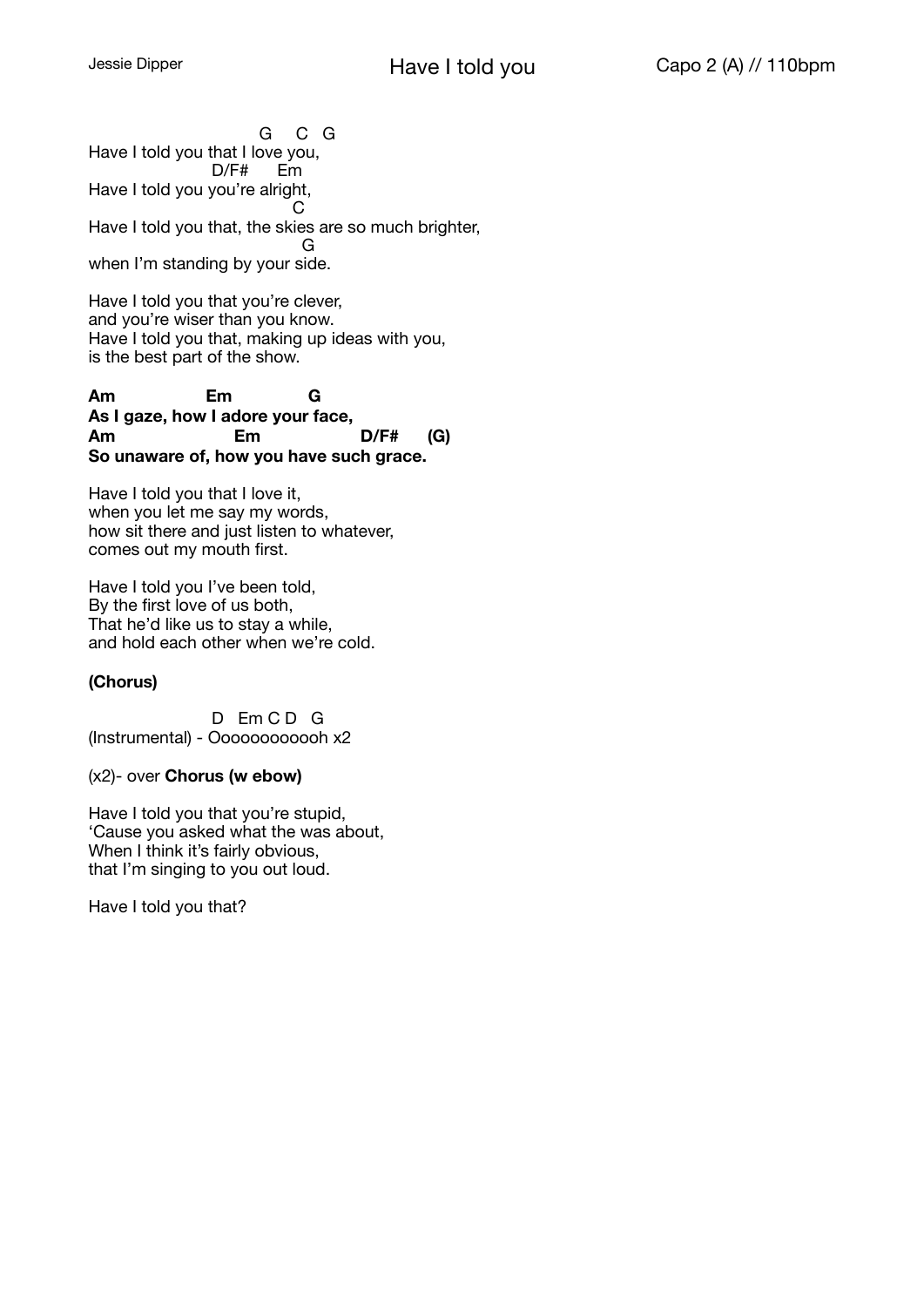G C G Have I told you that I love you, D/F# Em Have I told you you're alright, **Contract Contract Contract Contract Contract Contract Contract Contract Contract Contract Contract Contract C** Have I told you that, the skies are so much brighter, General Control of the General Co when I'm standing by your side.

Have I told you that you're clever, and you're wiser than you know. Have I told you that, making up ideas with you, is the best part of the show.

**Am Em G As I gaze, how I adore your face, Am Em D/F# (G) So unaware of, how you have such grace.** 

Have I told you that I love it, when you let me say my words, how sit there and just listen to whatever, comes out my mouth first.

Have I told you I've been told, By the first love of us both, That he'd like us to stay a while, and hold each other when we're cold.

### **(Chorus)**

D Em CD G (Instrumental) - Oooooooooooh x2

#### (x2)- over **Chorus (w ebow)**

Have I told you that you're stupid, 'Cause you asked what the was about, When I think it's fairly obvious, that I'm singing to you out loud.

Have I told you that?